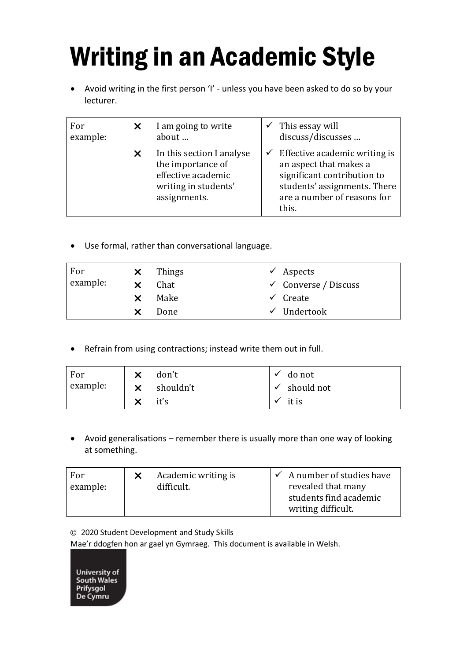## Writing in an Academic Style

• Avoid writing in the first person 'I' - unless you have been asked to do so by your lecturer.

| For<br>example: | X | I am going to write<br>about                                                                                 | This essay will<br>discuss/discusses                                                                                                                           |
|-----------------|---|--------------------------------------------------------------------------------------------------------------|----------------------------------------------------------------------------------------------------------------------------------------------------------------|
|                 | X | In this section I analyse<br>the importance of<br>effective academic<br>writing in students'<br>assignments. | Effective academic writing is<br>an aspect that makes a<br>significant contribution to<br>students' assignments. There<br>are a number of reasons for<br>this. |

• Use formal, rather than conversational language.

| For      | Things | <i>Aspects</i>                  |
|----------|--------|---------------------------------|
| example: | Chat   | $\checkmark$ Converse / Discuss |
|          | Make   | $\checkmark$ Create             |
|          | Done   | $\checkmark$ Undertook          |

• Refrain from using contractions; instead write them out in full.

| For      | don't     | do not                  |
|----------|-----------|-------------------------|
| example: | shouldn't | $\checkmark$ should not |
|          | it's      | it is                   |

• Avoid generalisations – remember there is usually more than one way of looking at something.

| revealed that many<br>example:<br>difficult.<br>students find academic<br>writing difficult. |
|----------------------------------------------------------------------------------------------|
|----------------------------------------------------------------------------------------------|

© 2020 Student Development and Study Skills

Mae'r ddogfen hon ar gael yn Gymraeg. This document is available in Welsh.

**University of** South Wales Prifysgol De Cymru